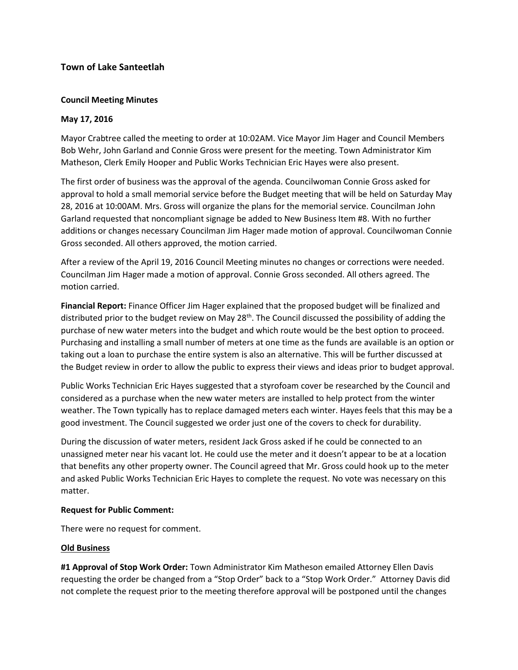# **Town of Lake Santeetlah**

## **Council Meeting Minutes**

### **May 17, 2016**

Mayor Crabtree called the meeting to order at 10:02AM. Vice Mayor Jim Hager and Council Members Bob Wehr, John Garland and Connie Gross were present for the meeting. Town Administrator Kim Matheson, Clerk Emily Hooper and Public Works Technician Eric Hayes were also present.

The first order of business was the approval of the agenda. Councilwoman Connie Gross asked for approval to hold a small memorial service before the Budget meeting that will be held on Saturday May 28, 2016 at 10:00AM. Mrs. Gross will organize the plans for the memorial service. Councilman John Garland requested that noncompliant signage be added to New Business Item #8. With no further additions or changes necessary Councilman Jim Hager made motion of approval. Councilwoman Connie Gross seconded. All others approved, the motion carried.

After a review of the April 19, 2016 Council Meeting minutes no changes or corrections were needed. Councilman Jim Hager made a motion of approval. Connie Gross seconded. All others agreed. The motion carried.

**Financial Report:** Finance Officer Jim Hager explained that the proposed budget will be finalized and distributed prior to the budget review on May 28<sup>th</sup>. The Council discussed the possibility of adding the purchase of new water meters into the budget and which route would be the best option to proceed. Purchasing and installing a small number of meters at one time as the funds are available is an option or taking out a loan to purchase the entire system is also an alternative. This will be further discussed at the Budget review in order to allow the public to express their views and ideas prior to budget approval.

Public Works Technician Eric Hayes suggested that a styrofoam cover be researched by the Council and considered as a purchase when the new water meters are installed to help protect from the winter weather. The Town typically has to replace damaged meters each winter. Hayes feels that this may be a good investment. The Council suggested we order just one of the covers to check for durability.

During the discussion of water meters, resident Jack Gross asked if he could be connected to an unassigned meter near his vacant lot. He could use the meter and it doesn't appear to be at a location that benefits any other property owner. The Council agreed that Mr. Gross could hook up to the meter and asked Public Works Technician Eric Hayes to complete the request. No vote was necessary on this matter.

### **Request for Public Comment:**

There were no request for comment.

### **Old Business**

**#1 Approval of Stop Work Order:** Town Administrator Kim Matheson emailed Attorney Ellen Davis requesting the order be changed from a "Stop Order" back to a "Stop Work Order." Attorney Davis did not complete the request prior to the meeting therefore approval will be postponed until the changes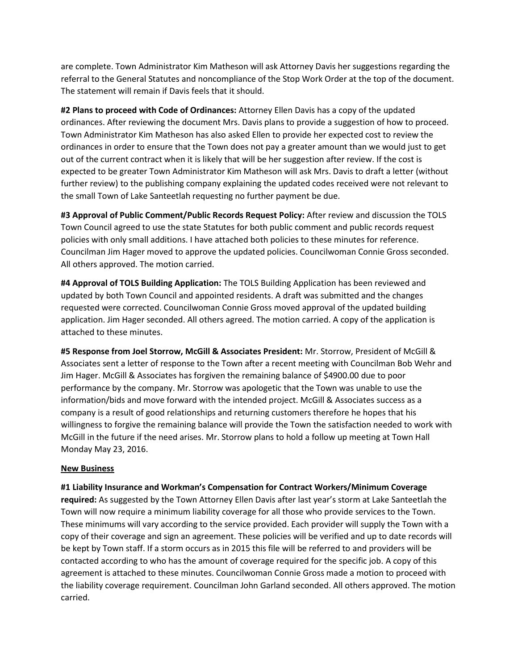are complete. Town Administrator Kim Matheson will ask Attorney Davis her suggestions regarding the referral to the General Statutes and noncompliance of the Stop Work Order at the top of the document. The statement will remain if Davis feels that it should.

**#2 Plans to proceed with Code of Ordinances:** Attorney Ellen Davis has a copy of the updated ordinances. After reviewing the document Mrs. Davis plans to provide a suggestion of how to proceed. Town Administrator Kim Matheson has also asked Ellen to provide her expected cost to review the ordinances in order to ensure that the Town does not pay a greater amount than we would just to get out of the current contract when it is likely that will be her suggestion after review. If the cost is expected to be greater Town Administrator Kim Matheson will ask Mrs. Davis to draft a letter (without further review) to the publishing company explaining the updated codes received were not relevant to the small Town of Lake Santeetlah requesting no further payment be due.

**#3 Approval of Public Comment/Public Records Request Policy:** After review and discussion the TOLS Town Council agreed to use the state Statutes for both public comment and public records request policies with only small additions. I have attached both policies to these minutes for reference. Councilman Jim Hager moved to approve the updated policies. Councilwoman Connie Gross seconded. All others approved. The motion carried.

**#4 Approval of TOLS Building Application:** The TOLS Building Application has been reviewed and updated by both Town Council and appointed residents. A draft was submitted and the changes requested were corrected. Councilwoman Connie Gross moved approval of the updated building application. Jim Hager seconded. All others agreed. The motion carried. A copy of the application is attached to these minutes.

**#5 Response from Joel Storrow, McGill & Associates President:** Mr. Storrow, President of McGill & Associates sent a letter of response to the Town after a recent meeting with Councilman Bob Wehr and Jim Hager. McGill & Associates has forgiven the remaining balance of \$4900.00 due to poor performance by the company. Mr. Storrow was apologetic that the Town was unable to use the information/bids and move forward with the intended project. McGill & Associates success as a company is a result of good relationships and returning customers therefore he hopes that his willingness to forgive the remaining balance will provide the Town the satisfaction needed to work with McGill in the future if the need arises. Mr. Storrow plans to hold a follow up meeting at Town Hall Monday May 23, 2016.

### **New Business**

**#1 Liability Insurance and Workman's Compensation for Contract Workers/Minimum Coverage required:** As suggested by the Town Attorney Ellen Davis after last year's storm at Lake Santeetlah the Town will now require a minimum liability coverage for all those who provide services to the Town. These minimums will vary according to the service provided. Each provider will supply the Town with a copy of their coverage and sign an agreement. These policies will be verified and up to date records will be kept by Town staff. If a storm occurs as in 2015 this file will be referred to and providers will be contacted according to who has the amount of coverage required for the specific job. A copy of this agreement is attached to these minutes. Councilwoman Connie Gross made a motion to proceed with the liability coverage requirement. Councilman John Garland seconded. All others approved. The motion carried.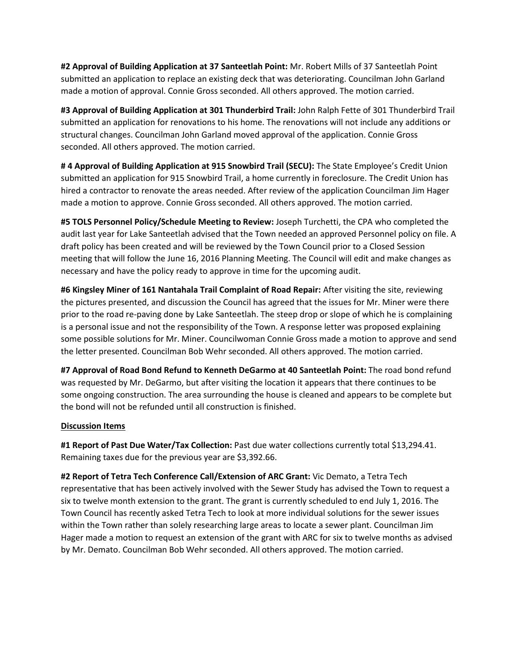**#2 Approval of Building Application at 37 Santeetlah Point:** Mr. Robert Mills of 37 Santeetlah Point submitted an application to replace an existing deck that was deteriorating. Councilman John Garland made a motion of approval. Connie Gross seconded. All others approved. The motion carried.

**#3 Approval of Building Application at 301 Thunderbird Trail:** John Ralph Fette of 301 Thunderbird Trail submitted an application for renovations to his home. The renovations will not include any additions or structural changes. Councilman John Garland moved approval of the application. Connie Gross seconded. All others approved. The motion carried.

**# 4 Approval of Building Application at 915 Snowbird Trail (SECU):** The State Employee's Credit Union submitted an application for 915 Snowbird Trail, a home currently in foreclosure. The Credit Union has hired a contractor to renovate the areas needed. After review of the application Councilman Jim Hager made a motion to approve. Connie Gross seconded. All others approved. The motion carried.

**#5 TOLS Personnel Policy/Schedule Meeting to Review:** Joseph Turchetti, the CPA who completed the audit last year for Lake Santeetlah advised that the Town needed an approved Personnel policy on file. A draft policy has been created and will be reviewed by the Town Council prior to a Closed Session meeting that will follow the June 16, 2016 Planning Meeting. The Council will edit and make changes as necessary and have the policy ready to approve in time for the upcoming audit.

**#6 Kingsley Miner of 161 Nantahala Trail Complaint of Road Repair:** After visiting the site, reviewing the pictures presented, and discussion the Council has agreed that the issues for Mr. Miner were there prior to the road re-paving done by Lake Santeetlah. The steep drop or slope of which he is complaining is a personal issue and not the responsibility of the Town. A response letter was proposed explaining some possible solutions for Mr. Miner. Councilwoman Connie Gross made a motion to approve and send the letter presented. Councilman Bob Wehr seconded. All others approved. The motion carried.

**#7 Approval of Road Bond Refund to Kenneth DeGarmo at 40 Santeetlah Point:** The road bond refund was requested by Mr. DeGarmo, but after visiting the location it appears that there continues to be some ongoing construction. The area surrounding the house is cleaned and appears to be complete but the bond will not be refunded until all construction is finished.

### **Discussion Items**

**#1 Report of Past Due Water/Tax Collection:** Past due water collections currently total \$13,294.41. Remaining taxes due for the previous year are \$3,392.66.

**#2 Report of Tetra Tech Conference Call/Extension of ARC Grant:** Vic Demato, a Tetra Tech representative that has been actively involved with the Sewer Study has advised the Town to request a six to twelve month extension to the grant. The grant is currently scheduled to end July 1, 2016. The Town Council has recently asked Tetra Tech to look at more individual solutions for the sewer issues within the Town rather than solely researching large areas to locate a sewer plant. Councilman Jim Hager made a motion to request an extension of the grant with ARC for six to twelve months as advised by Mr. Demato. Councilman Bob Wehr seconded. All others approved. The motion carried.